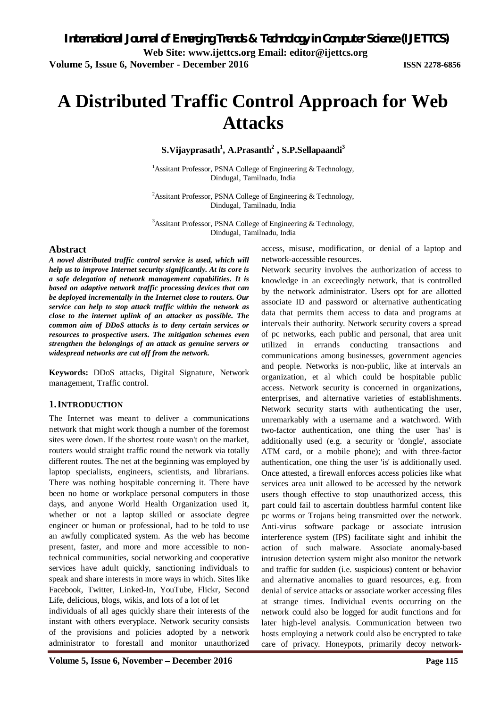# **A Distributed Traffic Control Approach for Web Attacks**

**S.Vijayprasath<sup>1</sup> , A.Prasanth<sup>2</sup> , S.P.Sellapaandi<sup>3</sup>**

<sup>1</sup>Assitant Professor, PSNA College of Engineering  $\&$  Technology, Dindugal, Tamilnadu, India

<sup>2</sup>Assitant Professor, PSNA College of Engineering  $\&$  Technology, Dindugal, Tamilnadu, India

 $3$ Assitant Professor, PSNA College of Engineering & Technology, Dindugal, Tamilnadu, India

#### **Abstract**

*A novel distributed traffic control service is used, which will help us to improve Internet security significantly. At its core is a safe delegation of network management capabilities. It is based on adaptive network traffic processing devices that can be deployed incrementally in the Internet close to routers. Our service can help to stop attack traffic within the network as close to the internet uplink of an attacker as possible. The common aim of DDoS attacks is to deny certain services or resources to prospective users. The mitigation schemes even strengthen the belongings of an attack as genuine servers or widespread networks are cut off from the network.* 

**Keywords:** DDoS attacks, Digital Signature, Network management, Traffic control.

#### **1.INTRODUCTION**

The Internet was meant to deliver a communications network that might work though a number of the foremost sites were down. If the shortest route wasn't on the market, routers would straight traffic round the network via totally different routes. The net at the beginning was employed by laptop specialists, engineers, scientists, and librarians. There was nothing hospitable concerning it. There have been no home or workplace personal computers in those days, and anyone World Health Organization used it, whether or not a laptop skilled or associate degree engineer or human or professional, had to be told to use an awfully complicated system. As the web has become present, faster, and more and more accessible to nontechnical communities, social networking and cooperative services have adult quickly, sanctioning individuals to speak and share interests in more ways in which. Sites like Facebook, Twitter, Linked-In, YouTube, Flickr, Second Life, delicious, blogs, wikis, and lots of a lot of let

individuals of all ages quickly share their interests of the instant with others everyplace. Network security consists of the provisions and policies adopted by a network administrator to forestall and monitor unauthorized access, misuse, modification, or denial of a laptop and network-accessible resources.

Network security involves the authorization of access to knowledge in an exceedingly network, that is controlled by the network administrator. Users opt for are allotted associate ID and password or alternative authenticating data that permits them access to data and programs at intervals their authority. Network security covers a spread of pc networks, each public and personal, that area unit utilized in errands conducting transactions and communications among businesses, government agencies and people. Networks is non-public, like at intervals an organization, et al which could be hospitable public access. Network security is concerned in organizations, enterprises, and alternative varieties of establishments. Network security starts with authenticating the user, unremarkably with a username and a watchword. With two-factor authentication, one thing the user 'has' is additionally used (e.g. a security or 'dongle', associate ATM card, or a mobile phone); and with three-factor authentication, one thing the user 'is' is additionally used. Once attested, a firewall enforces access policies like what services area unit allowed to be accessed by the network users though effective to stop unauthorized access, this part could fail to ascertain doubtless harmful content like pc worms or Trojans being transmitted over the network. Anti-virus software package or associate intrusion interference system (IPS) facilitate sight and inhibit the action of such malware. Associate anomaly-based intrusion detection system might also monitor the network and traffic for sudden (i.e. suspicious) content or behavior and alternative anomalies to guard resources, e.g. from denial of service attacks or associate worker accessing files at strange times. Individual events occurring on the network could also be logged for audit functions and for later high-level analysis. Communication between two hosts employing a network could also be encrypted to take care of privacy. Honeypots, primarily decoy network-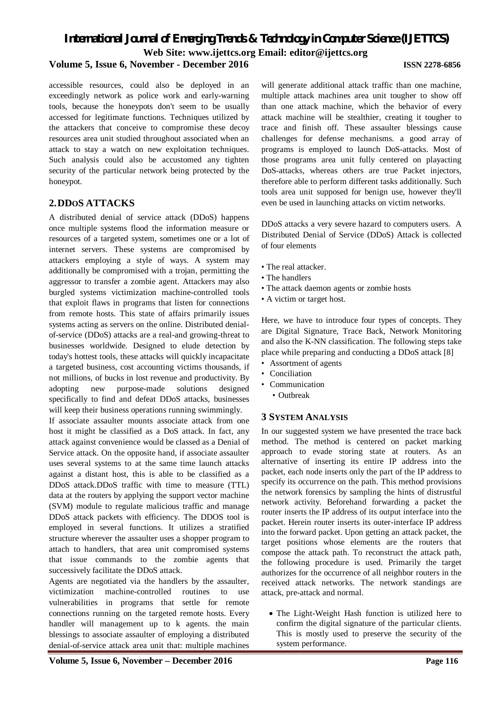### *International Journal of Emerging Trends & Technology in Computer Science (IJETTCS)* **Web Site: www.ijettcs.org Email: editor@ijettcs.org Volume 5, Issue 6, November - December 2016 ISSN 2278-6856**

accessible resources, could also be deployed in an exceedingly network as police work and early-warning tools, because the honeypots don't seem to be usually accessed for legitimate functions. Techniques utilized by the attackers that conceive to compromise these decoy resources area unit studied throughout associated when an attack to stay a watch on new exploitation techniques. Such analysis could also be accustomed any tighten security of the particular network being protected by the honeypot.

#### **2.DDOS ATTACKS**

A distributed denial of service attack (DDoS) happens once multiple systems flood the information measure or resources of a targeted system, sometimes one or a lot of internet servers. These systems are compromised by attackers employing a style of ways. A system may additionally be compromised with a trojan, permitting the aggressor to transfer a zombie agent. Attackers may also burgled systems victimization machine-controlled tools that exploit flaws in programs that listen for connections from remote hosts. This state of affairs primarily issues systems acting as servers on the online. Distributed denialof-service (DDoS) attacks are a real-and growing-threat to businesses worldwide. Designed to elude detection by today's hottest tools, these attacks will quickly incapacitate a targeted business, cost accounting victims thousands, if not millions, of bucks in lost revenue and productivity. By adopting new purpose-made solutions designed specifically to find and defeat DDoS attacks, businesses will keep their business operations running swimmingly.

If associate assaulter mounts associate attack from one host it might be classified as a DoS attack. In fact, any attack against convenience would be classed as a Denial of Service attack. On the opposite hand, if associate assaulter uses several systems to at the same time launch attacks against a distant host, this is able to be classified as a DDoS attack.DDoS traffic with time to measure (TTL) data at the routers by applying the support vector machine (SVM) module to regulate malicious traffic and manage DDoS attack packets with efficiency. The DDOS tool is employed in several functions. It utilizes a stratified structure wherever the assaulter uses a shopper program to attach to handlers, that area unit compromised systems that issue commands to the zombie agents that successively facilitate the DDoS attack.

Agents are negotiated via the handlers by the assaulter, victimization machine-controlled routines to use vulnerabilities in programs that settle for remote connections running on the targeted remote hosts. Every handler will management up to k agents. the main blessings to associate assaulter of employing a distributed denial-of-service attack area unit that: multiple machines

will generate additional attack traffic than one machine, multiple attack machines area unit tougher to show off than one attack machine, which the behavior of every attack machine will be stealthier, creating it tougher to trace and finish off. These assaulter blessings cause challenges for defense mechanisms. a good array of programs is employed to launch DoS-attacks. Most of those programs area unit fully centered on playacting DoS-attacks, whereas others are true Packet injectors, therefore able to perform different tasks additionally. Such tools area unit supposed for benign use, however they'll even be used in launching attacks on victim networks.

DDoS attacks a very severe hazard to computers users. A Distributed Denial of Service (DDoS) Attack is collected of four elements

- The real attacker.
- The handlers
- The attack daemon agents or zombie hosts
- A victim or target host.

Here, we have to introduce four types of concepts. They are Digital Signature, Trace Back, Network Monitoring and also the K-NN classification. The following steps take place while preparing and conducting a DDoS attack [8]

- Assortment of agents
- Conciliation
- Communication
	- Outbreak

#### **3 SYSTEM ANALYSIS**

In our suggested system we have presented the trace back method. The method is centered on packet marking approach to evade storing state at routers. As an alternative of inserting its entire IP address into the packet, each node inserts only the part of the IP address to specify its occurrence on the path. This method provisions the network forensics by sampling the hints of distrustful network activity. Beforehand forwarding a packet the router inserts the IP address of its output interface into the packet. Herein router inserts its outer-interface IP address into the forward packet. Upon getting an attack packet, the target positions whose elements are the routers that compose the attack path. To reconstruct the attack path, the following procedure is used. Primarily the target authorizes for the occurrence of all neighbor routers in the received attack networks. The network standings are attack, pre-attack and normal.

 The Light-Weight Hash function is utilized here to confirm the digital signature of the particular clients. This is mostly used to preserve the security of the system performance.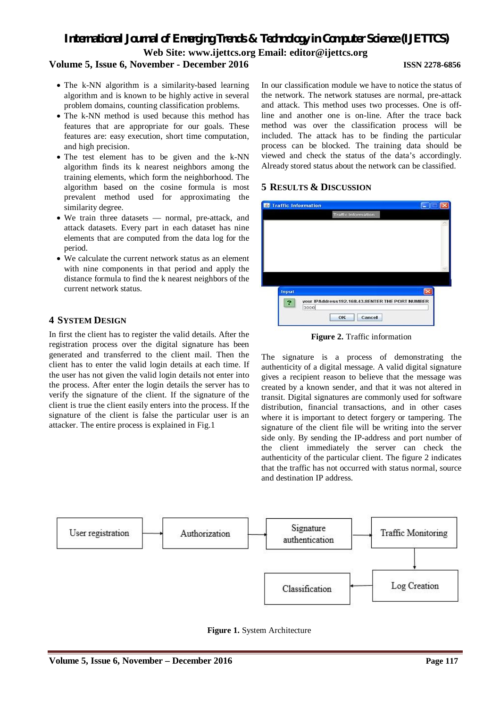### *International Journal of Emerging Trends & Technology in Computer Science (IJETTCS)* **Web Site: www.ijettcs.org Email: editor@ijettcs.org**

#### **Volume 5, Issue 6, November - December 2016 ISSN 2278-6856**

- The k-NN algorithm is a similarity-based learning algorithm and is known to be highly active in several problem domains, counting classification problems.
- The k-NN method is used because this method has features that are appropriate for our goals. These features are: easy execution, short time computation, and high precision.
- The test element has to be given and the k-NN algorithm finds its k nearest neighbors among the training elements, which form the neighborhood. The algorithm based on the cosine formula is most prevalent method used for approximating the similarity degree.
- We train three datasets normal, pre-attack, and attack datasets. Every part in each dataset has nine elements that are computed from the data log for the period.
- We calculate the current network status as an element with nine components in that period and apply the distance formula to find the k nearest neighbors of the current network status.

#### **4 SYSTEM DESIGN**

In first the client has to register the valid details. After the registration process over the digital signature has been generated and transferred to the client mail. Then the client has to enter the valid login details at each time. If the user has not given the valid login details not enter into the process. After enter the login details the server has to verify the signature of the client. If the signature of the client is true the client easily enters into the process. If the signature of the client is false the particular user is an attacker. The entire process is explained in Fig.1

In our classification module we have to notice the status of the network. The network statuses are normal, pre-attack and attack. This method uses two processes. One is offline and another one is on-line. After the trace back method was over the classification process will be included. The attack has to be finding the particular process can be blocked. The training data should be viewed and check the status of the data's accordingly. Already stored status about the network can be classified.

#### **5 RESULTS & DISCUSSION**

| <b>Traffic Information</b> |                            |                                                 |
|----------------------------|----------------------------|-------------------------------------------------|
|                            | <b>Traffic Information</b> |                                                 |
|                            |                            |                                                 |
|                            |                            |                                                 |
|                            |                            |                                                 |
|                            |                            |                                                 |
|                            |                            |                                                 |
|                            |                            |                                                 |
|                            |                            |                                                 |
| Input                      |                            |                                                 |
|                            |                            |                                                 |
|                            |                            | your IPAddress192.168.43.8ENTER THE PORT NUMBER |
|                            | 3000<br>- 79<br>OK         | Cancel                                          |

**Figure 2.** Traffic information

The signature is a process of demonstrating the authenticity of a digital message. A valid digital signature gives a recipient reason to believe that the message was created by a known sender, and that it was not altered in transit. Digital signatures are commonly used for software distribution, financial transactions, and in other cases where it is important to detect forgery or tampering. The signature of the client file will be writing into the server side only. By sending the IP-address and port number of the client immediately the server can check the authenticity of the particular client. The figure 2 indicates that the traffic has not occurred with status normal, source and destination IP address.



**Figure 1.** System Architecture